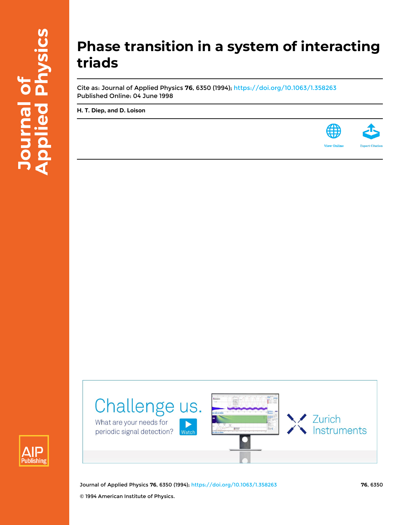# **Phase transition in a system of interacting triads**

Cite as: Journal of Applied Physics **76**, 6350 (1994); <https://doi.org/10.1063/1.358263> Published Online: 04 June 1998

**[H. T. Diep](https://aip.scitation.org/author/Diep%2C+H+T), and [D. Loison](https://aip.scitation.org/author/Loison%2C+D)**







.<br>Watcł

Challenge us.

What are your needs for

periodic signal detection?

**Zurich** 

Instruments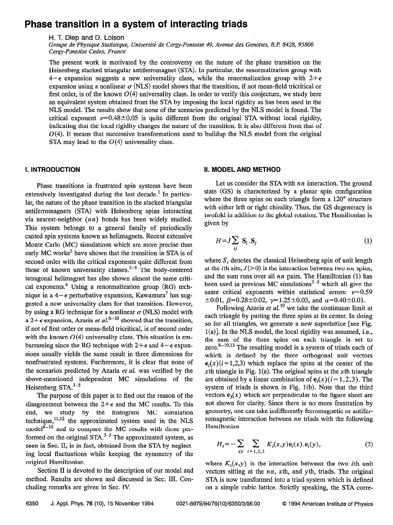## Phase transition in a system of interacting triads

H. T. Diep and D. Loison

Groupe de Physique Statistique, Université de Cergy-Pontoise 49, Avenue des Genottes, B.P. 8428, 95806 Cergy-Pontoise Cedex, France

The present work is motivated by the controversy on the nature of the phase transition on the Heisenberg stacked triangular antiferromagnet (STA). In particular, the renormalization group with  $4-\epsilon$  expansion suggests a new universality class, while the renormalization group with  $2+\epsilon$ expansion using a nonlinear  $\sigma$  (NLS) model shows that the transition, if not mean-field tricritical or first order, is of the known  $O(4)$  universality class. In order to verify this conjecture, we study here an equivalent system obtained from the STA by imposing the local rigidity as has been used in the NLS model. The results show that none of the scenarios predicted by the NLS model is found. The critical exponent  $\nu=0.48\pm0.05$  is quite different from the original STA without local rigidity, indicating that the local rigidity changes the nature of the transition. It is also different from that of  $O(4)$ . It means that successive transformations used to buildup the NLS model from the original STA may lead to the  $O(4)$  universality class.

Phase transitions in frustrated spin systems have been extensively investigated during the last decade.<sup>1</sup> In particular, the nature of the phase transition in the stacked triangular antiferromagnets (STA) with Heisenberg spins interacting via nearest-neighbor  $(nn)$  bonds has been widely studied. This system belongs to a general family of periodically canted spin systems known as helimagnets. Recent extensive Monte Carlo (MC) simulations which are more precise than early  $MC$  works<sup>2</sup> have shown that the transition in STA is of second order with the critical exponents quite different from those of known universality classes.<sup>3-5</sup> The body-centered tetragonal helimagnet has also shown almost the same critical exponents.<sup>6</sup> Using a renormalization group  $(RG)$  technique in a  $4-\epsilon$  perturbative expansion, Kawamura<sup>7</sup> has suggested a new universality class for that transition. However, by using a RG technique for a nonlinear  $\sigma$  (NLS) model with a  $2+\epsilon$  expansion, Azaria *et al.*<sup>8-10</sup> showed that the transition, if not of first order or mean-field tricritical, is of second order with the known  $O(4)$  universality class. This situation is embarrassing since the RG technique with  $2+\epsilon$  and  $4-\epsilon$  expansions usually yields the same result in three dimensions for nonfrustrated systems. Furthermore, it is clear that none of the scenarios predicted by Azaria et al. was verified by the above-mentioned independent MC simulations of the Heisenberg  $STA<sup>3-5</sup>$ 

The purpose of this paper is to find out the reason of the disagreement between the  $2+\epsilon$  and the MC results. To this end, we study by the histogram MC simulation technique, $^{11,12}$  the approximated system used in the NLS model $^{8-10}$  and to compare the MC results with those performed on the original  $STA^{3-5}$  The approximated system, as seen in Sec. II, is in fact, obtained from the STA by neglecting local fluctuations while keeping the symmetry of the original Hamiltonian.

Section II is devoted to the description of our model and method. Results are shown and discussed in Sec. III. Concluding remarks are given in Sec. IV.

### I. INTRODUCTION II. MODELAND METHOD

Let us consider the STA with  $nn$  interaction. The ground state (GS) is characterized by a planar spin configuration where the three spins on each triangle form a 120° structure with either left or right chirality. Thus, the GS degeneracy is twofold in addition to the global rotation. The Hamiltonian is given by

$$
H = J \sum_{ij} \mathbf{S}_i \cdot \mathbf{S}_j \tag{1}
$$

where  $S_i$  denotes the classical Heisenberg spin of unit length at the *i*th site,  $J(>0)$  is the interaction between two nn spins, and the sum runs over all  $nn$  pairs. The Hamiltonian (1) has been used in previous MC simulations<sup>3-5</sup> which all give the same critical exponents within statistical errors:  $\nu=0.59$  $\pm 0.01, \beta = 0.28 \pm 0.02, \gamma = 1.25 \pm 0.03, \text{ and } \alpha = 0.40 \pm 0.01.$ 

Following Azaria et  $al$ <sup>10</sup> we take the continuum limit at each triangle by putting the three spins at its center. In doing so for all triangles, we generate a new superlattice [see Fig.  $l(a)$ ]. In the NLS model, the local rigidity was assumed, i.e., the sum of the three spins on each triangle is set to zero. $8-10,13$  The resulting model is a system of triads each of which is defined by the three orthogonal unit vectors  $e_i(x)(i=1,2,3)$  which replace the spins at the center of the xth triangle in Fig. 1(a). The original spins at the xth triangle are obtained by a linear combination of  $e_i(x)$  ( $i = 1,2,3$ ). The system of triads is shown in Fig. l(b). Note that the third vectors  $e_3(x)$  which are perpendicular to the figure sheet are not shown for clarity. Since there is no more frustration by geometry, one can take indifferently ferromagnetic or antiferromagnetic interaction between  $nn$  triads with the following Hamiltonian

$$
H_{t} = -\sum_{xy} \sum_{i=1,2,3} K_{i}(x,y) \mathbf{e}_{i}(x) \mathbf{e}_{i}(y), \qquad (2)
$$

where  $K_i(x, y)$  is the interaction between the two *i*th unit vectors sitting at the  $nn$ , xth, and yth, triads. The original STA is now transformed into a triad system which is defined on a simple cubic lattice. Strictly speaking, the STA corre-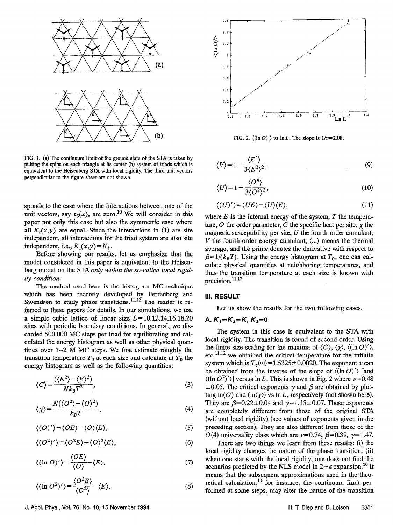

FIG. 1. (a) The continuum limit of the ground state of the STA is taken by putting the spins on each triangle at its center (b) system of triads which is equivalent to the Heisenberg STA with local rigidity. The third unit vectors perpendicular to the figure sheet are not shown.

sponds to the case where the interactions between one of the unit vectors, say  $e_3(x)$ , are zero.<sup>10</sup> We will consider in this paper not only this case but also the symmetric case where all  $K_i(x, y)$  are equal. Since the interactions in (1) are site independent, all interactions for the triad system are also site independent, i.e.,  $K_i(x, y) = K_i$ .

Before showing our results, let us emphasize that the model considered in this paper is equivalent to the Heisenberg model on the STA only within the so-called local rigidity condition.

The method used here is the histogram MC technique which has been recently developed by Ferrenberg and Swendsen to study phase transitions. $11,12$  The reader is referred to these papers for details. In our simulations, we use a simple cubic lattice of linear size  $L=10,12,14,16,18,20$ sites with periodic boundary conditions. In general, we discarded 500 000 MC steps per triad for equilibrating and calculated the energy histogram as well as other physical quantities over 1-2 M MC steps. We first estimate roughly the transition temperature  $T_0$  at each size and calculate at  $T_0$  the energy histogram as well as the following quantities:

$$
\langle C \rangle = \frac{(\langle E^2 \rangle - \langle E \rangle^2)}{N k_B T^2},\tag{3}
$$

$$
\langle \chi \rangle = \frac{N(\langle O^2 \rangle - \langle O \rangle^2)}{k_B T},\tag{4}
$$

$$
\langle (O)'\rangle = \langle OE\rangle - \langle O\rangle \langle E\rangle, \tag{5}
$$

$$
\langle (O^2)'\rangle = \langle O^2 E \rangle - \langle O \rangle^2 \langle E \rangle, \tag{6}
$$

$$
\langle (\ln O)' \rangle = \frac{\langle OE \rangle}{\langle O \rangle} - \langle E \rangle, \tag{7}
$$

$$
\langle (\ln O^2)' \rangle = \frac{\langle O^2 E \rangle}{\langle O^2 \rangle} - \langle E \rangle, \tag{8}
$$



FIG. 2.  $\langle (\ln O)' \rangle$  vs  $\ln L$ . The slope is  $1/\nu = 2.08$ .

$$
\langle V \rangle = 1 - \frac{\langle E^4 \rangle}{3 \langle E^2 \rangle^2},\tag{9}
$$

$$
\langle U \rangle = 1 - \frac{\langle O^4 \rangle}{3 \langle O^2 \rangle^2},\tag{10}
$$

$$
\langle (U)'\rangle = \langle UE \rangle - \langle U \rangle \langle E \rangle, \tag{11}
$$

where  $E$  is the internal energy of the system,  $T$  the tempera-ture, O the order parameter, C the specific heat per site,  $\chi$  the magnetic susceptibility per site,  $U$  the fourth-order cumulant, V the fourth-order energy cumulant,  $\langle ... \rangle$  means the thermal average, and the prime denotes the derivative with respect to  $\beta=1/(k_BT)$ . Using the energy histogram at  $T_0$ , one can calculate physical quantities at neighboring temperatures, and thus the transition temperature at each size is known with precision. $^{11,12}$ 

#### III. RESULT

Let us show the results for the two following cases.

#### A.  $K_1=K_2=K$ ,  $K_3=0$

The system in this case is equivalent to the STA with local rigidity. The transition is found of second order. Using the finite size scaling for the maxima of  $\langle C \rangle$ ,  $\langle \chi \rangle$ ,  $\langle (\ln O)' \rangle$ ,  $etc.$ <sup>11,12</sup> we obtained the critical temperature for the infinite system which is  $T_c(\infty) = 1.5325 \pm 0.0020$ . The exponent v can be obtained from the inverse of the slope of  $\langle (\ln O)' \rangle$  [and  $\langle \frac{\ln (O^2)}{\ln (O^2)} \rangle$  versus  $\ln L$ . This is shown in Fig. 2 where  $\nu$ =0.48  $\pm 0.05$ . The critical exponents y and  $\beta$  are obtained by plotting  $\ln\langle O \rangle$  and  $(\ln\langle \chi \rangle)$  vs  $\ln L$ , respectively (not shown here). They are  $\beta$ =0.22±0.04 and  $\gamma$ =1.15±0.07. These exponents are completely different from those of the original STA (without local rigidity) (see values of exponents given in the preceding section). They are also different from those of the O(4) universality class which are  $\nu=0.74$ ,  $\beta=0.39$ ,  $\gamma=1.47$ .

There are two things we learn from these results: (i) the local rigidity changes the nature of the phase transition; (ii) when one starts with the local rigidity, one does not find the scenarios predicted by the NLS model in  $2+\epsilon$  expansion.<sup>10</sup> It means that the subsequent approximations used in the theoretical calculation, $10$  for instance, the continuum limit performed at some steps, may alter the nature of the transition